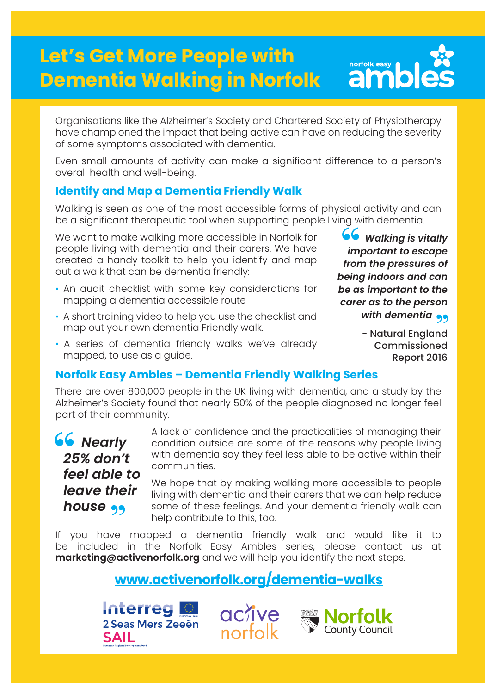# **Let's Get More People with Dementia Walking in Norfolk**



Organisations like the Alzheimer's Society and Chartered Society of Physiotherapy have championed the impact that being active can have on reducing the severity of some symptoms associated with dementia.

Even small amounts of activity can make a significant difference to a person's overall health and well-being.

## **Identify and Map a Dementia Friendly Walk**

Walking is seen as one of the most accessible forms of physical activity and can be a significant therapeutic tool when supporting people living with dementia.

We want to make walking more accessible in Norfolk for people living with dementia and their carers. We have created a handy toolkit to help you identify and map out a walk that can be dementia friendly:

- An audit checklist with some key considerations for mapping a dementia accessible route
- A short training video to help you use the checklist and map out your own dementia Friendly walk.
- A series of dementia friendly walks we've already mapped, to use as a guide.

## **Norfolk Easy Ambles – Dementia Friendly Walking Series**

There are over 800,000 people in the UK living with dementia, and a study by the Alzheimer's Society found that nearly 50% of the people diagnosed no longer feel part of their community.



A lack of confidence and the practicalities of managing their condition outside are some of the reasons why people living with dementia say they feel less able to be active within their communities.

We hope that by making walking more accessible to people living with dementia and their carers that we can help reduce some of these feelings. And your dementia friendly walk can help contribute to this, too.

If you have mapped a dementia friendly walk and would like it to be included in the Norfolk Easy Ambles series, please contact us at **marketing@activenorfolk.org** and we will help you identify the next steps.

## **www.activenorfolk.org/dementia-walks**

**Interreg** 2 Seas Mers Zeeën **SAIL** 





*Walking is vitally important to escape from the pressures of being indoors and can be as important to the carer as to the person*  with dementia<br>- Natural England **66**<br>
im<br>
from

- Natural England Commissioned Report 2016